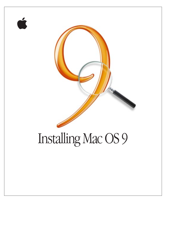

Ć

# Installing Mac OS 9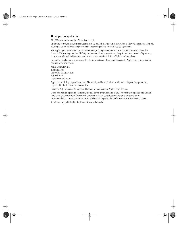#### $\bullet$  Apple Computer, Inc.

© 1999 Apple Computer, Inc. All rights reserved.

Under the copyright laws, this manual may not be copied, in whole or in part, without the written consent of Apple. Your rights to the software are governed by the accompanying software license agreement.

The Apple logo is a trademark of Apple Computer, Inc., registered in the U.S. and other countries. Use of the "keyboard" Apple logo (Option-Shift-K) for commercial purposes without the prior written consent of Apple may constitute trademark infringement and unfair competition in violation of federal and state laws.

Every effort has been made to ensure that the information in this manual is accurate. Apple is not responsible for printing or clerical errors.

Apple Computer, Inc. 1 Infinite Loop Cupertino, CA 95014-2084 408-996-1010 http://www.apple.com

Apple, the Apple logo, AppleShare, Mac, Macintosh, and PowerBook are trademarks of Apple Computer, Inc., registered in the U.S. and other countries.

Disk First Aid, Extensions Manager, and Finder are trademarks of Apple Computer, Inc.

Other company and product names mentioned herein are trademarks of their respective companies. Mention of third-party products is for informational purposes only and constitutes neither an endorsement nor a recommendation. Apple assumes no responsibility with regard to the performance or use of these products.

Simultaneously published in the United States and Canada.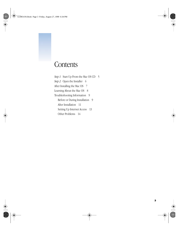# **Contents**

*Step 1:* Start Up From the Mac OS CD 5 *Step 2:* Open the Installer 6 [After Installing the Mac OS 7](#page-6-0) [Learning About the Mac OS 8](#page-7-0) [Troubleshooting Information 9](#page-8-0) [Before or During Installation 9](#page-8-0) [After Installation 11](#page-10-0) [Setting Up Internet Access 13](#page-12-0) [Other Problems 14](#page-13-0)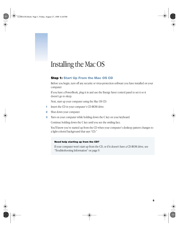# <span id="page-4-0"></span><sup>1</sup> Installing the Mac OS

# Step 1: Start Up From the Mac OS CD

Before you begin, turn off any security or virus-protection software you have installed on your computer.

If you have a PowerBook, plug it in and use the Energy Saver control panel to set it so it doesn't go to sleep.

Next, start up your computer using the Mac OS CD.

- 1 Insert the CD in your computer's CD-ROM drive.
- 2 Shut down your computer.
- **3** Turn on your computer while holding down the C key on your keyboard.

Continue holding down the C key until you see the smiling face.

You'll know you've started up from the CD when your computer's desktop pattern changes to a light-colored background that says "CD."

#### Need help starting up from the CD?

If your computer won't start up from the CD, or if it doesn't have a CD-ROM drive, see ["Troubleshooting Information" on page 9.](#page-8-0)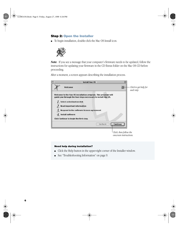#### <span id="page-5-0"></span>Step 2: Open the Installer

m To begin installation, double-click the Mac OS Install icon.



*Note:* If you see a message that your computer's firmware needs to be updated, follow the instructions for updating your firmware in the CD Extras folder on the Mac OS CD before proceeding.

After a moment, a screen appears describing the installation process.

| <b>Install Mac OS</b>                                                                                                          |                                     |
|--------------------------------------------------------------------------------------------------------------------------------|-------------------------------------|
| ℗<br>Welcome                                                                                                                   | Click to get belp for<br>each step. |
| Welcome to the Mac OS installation program. This program will<br>guide you through the four steps necessary to install Mac OS. |                                     |
| 7. Select a destination disk                                                                                                   |                                     |
| $21$ Read important information                                                                                                |                                     |
| $\frac{2}{3}$ . Respond to the software license agreement                                                                      |                                     |
| $4.$ Install software                                                                                                          |                                     |
| Click Continue to begin the first step.                                                                                        |                                     |
| Continue<br><b>Go Back</b>                                                                                                     |                                     |
|                                                                                                                                |                                     |
| Click, then follow the                                                                                                         |                                     |
| onscreen instructions.                                                                                                         |                                     |

#### Need help during installation?

- m Click the Help button in the upper-right corner of the Installer window.
- See ["Troubleshooting Information" on page 9.](#page-8-0)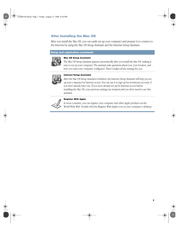## <span id="page-6-0"></span>After Installing the Mac OS

After you install the Mac OS, you can easily set up your computer and prepare it to connect to the Internet by using the Mac OS Setup Assistant and the Internet Setup Assistant.

#### Setup and registration assistants



#### Mac OS Setup Assistant

The Mac OS Setup Assistant appears automatically after you install the Mac OS, making it easy to set up your computer. The assistant asks questions about you, your location, and how you want your computer configured. Then it makes all the settings for you.



#### Internet Setup Assistant

After the Mac OS Setup Assistant is finished, the Internet Setup Assistant will help you set up your computer for Internet access. You can use it to sign up for an Internet account, if you don't already have one. If you were already set up for Internet access before installing the Mac OS, your previous settings are retained and you don't need to use this assistant.



#### Register With Apple

In most countries, you can register your computer and other Apple products on the World Wide Web. Double-click the Register With Apple icon on your computer's desktop.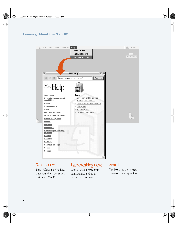# <span id="page-7-0"></span>Learning About the Mac OS



# What's new

Read "What's new" to find out about the changes and features in Mac OS.

# Late-breaking news

Get the latest news about compatibility and other important information.

# **Search**

Use Search to quickly get answers to your questions.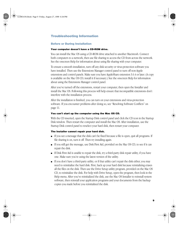## <span id="page-8-0"></span>Troubleshooting Information

#### Before or During Installation

#### Your computer doesn't have a CD-ROM drive.

You can install the Mac OS using a CD-ROM drive attached to another Macintosh. Connect both computers to a network, then use file sharing to access the CD from across the network. See the onscreen Help for information about using file sharing with your computer.

To ensure a smooth installation, turn off any disk security or virus-protection software you have installed. Then use the Extensions Manager control panel to turn off non-Apple extensions and control panels. Make sure you have AppleShare extension 3.6.4 or later. (A copy is available on the Mac OS CD; install it if necessary.) See the onscreen Help for information about using the Extensions Manager control panel.

After you've turned off the extensions, restart your computer, then open the Installer and install the Mac OS. Following this process will help ensure that incompatible extensions don't interfere with the installation process.

After the installation is finished, you can turn on your extensions and virus-protection software. If you encounter problems after doing so, see "[Resolving Software Conflicts" on](#page-10-0)  [page 11.](#page-10-0)

#### You can't start up the computer using the Mac OS CD.

With the CD inserted, open the Startup Disk control panel and click the CD icon in the Startup Disk window. Then restart the computer and install the Mac OS. After installation, use the Startup Disk control panel to reselect your hard disk, then restart your computer.

#### The Installer cannot repair your hard disk.

- m If you see a message that the disk can't be fixed because a file is open, quit all programs. If file sharing is on, turn it off. Then try installing again.
- m If you still get the message, use Disk First Aid, provided on the Mac OS CD, to see if it can repair the disk.
- m If Disk First Aid is unable to repair the disk, try a third-party disk repair utility, if you have one. Make sure you're using the latest version of the utility.
- m If you don't have a third-party utility, or if that utility can't repair the disk either, you may need to reinitialize the hard disk. First, back up your hard disk because reintializing erases all the files on the disk. Then use the Drive Setup utility program, provided on the Mac OS CD, to reinitialize the disk. For help with Drive Setup, open the program, then look in the Help menu. After you've reinitialized the disk, use the Mac OS Installer to reinstall system software, then reinstall your application programs and your documents from the backup copies you made before you reinitialized the disk.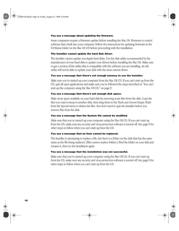#### You see a message about updating the firmware.

Some computers require a firmware update before installing the Mac OS. Firmware is control software that's built into your computer. Follow the instructions for updating firmware in the CD Extras folder on the Mac OS CD before proceeding with the installation.

#### The Installer cannot update the hard disk driver.

The Installer cannot update non-Apple hard disks. Use the disk utility recommended by the manufacturer of your hard disk to update your drivers before installing the Mac OS. Make sure to get a version of the utility that is compatible with the software you are installing. An old utility will not be able to update your disk with the most current driver.

#### You see a message that there's not enough memory to use the Installer.

Make sure you've started up your computer from the Mac OS CD. If you can't start up from the CD, quit all open applications and make sure you've followed the steps described in ["You can't](#page-8-0)  [start up the computer using the Mac OS CD." on page 9.](#page-8-0)

#### You see a message that there's not enough disk space.

Make more space available on your hard disk by removing some files from the disk. Copy the files you want to keep to another disk, then drag them to the Trash and choose Empty Trash from the Special menu to delete the files. You don't need to quit the Installer before you remove files from the disk.

#### You see a message that the System file cannot be modified.

Make sure that you've started up your computer using the Mac OS CD. If you can't start up from the CD, make sure any security and virus-protection software is turned off. See [page 9](#page-8-0) for other steps to follow when you can't start up from the CD.

#### You see a message that an item cannot be replaced.

The Installer is attempting to replace a file, but there is a folder on the disk that has the same name as the file being replaced. (Files cannot replace folders.) Find the folder on your disk and rename it, then try the installation again.

#### You see a message that the installation was not successful.

Make sure that you've started up your computer using the Mac OS CD. If you can't start up from the CD, make sure any security and virus-protection software is turned off. See [page 9](#page-8-0) for other steps to follow when you can't start up from the CD.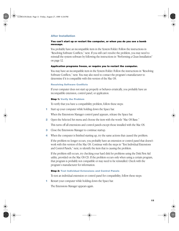#### <span id="page-10-0"></span>After Installation

#### You can't start up or restart the computer, or when you do you see a bomb message.

You probably have an incompatible item in the System Folder. Follow the instructions in "Resolving Software Conflicts," next. If you still can't resolve the problem, you may need to reinstall the system software by following the instructions in ["Performing a Clean Installation"](#page-11-0)  [on page 12.](#page-11-0)

#### Application programs freeze, or require you to restart the computer.

You may have an incompatible item in the System Folder. Follow the instructions in "Resolving Software Conflicts," next. You may also need to contact the program's manufacturer to determine if it is compatible with this version of the Mac OS.

#### Resolving Software Conflicts

If your computer does not start up properly or behaves erratically, you probably have an incompatible extension, control panel, or application.

#### Step 1: Verify the Problem

To verify that you have a compatibility problem, follow these steps:

1 Start up your computer while holding down the Space bar.

When the Extensions Manager control panel appears, release the Space bar.

2 Open the Selected Set menu and choose the item with the words "Mac OS Base."

This turns off all extensions and control panels except those installed with the Mac OS.

- **3** Close the Extensions Manager to continue startup.
- 4 When the computer is finished starting up, try the same actions that caused the problem.

If the problem no longer occurs, you probably have an extension or control panel that doesn't work with this version of the Mac OS. Continue with the steps in "Test Individual Extensions and Control Panels," next, to identify the item that is causing the problem.

If the problem still occurs, try checking your hard disk for problems using the Disk First Aid utility, provided on the Mac OS CD. If the problem occurs only when using a certain program, that program is probably not compatible or may need to be reinstalled. Check with the program's manufacturer for information.

#### Step 2: Test Individual Extensions and Control Panels

To test an individual extension or control panel for compatibility, follow these steps:

1 Restart your computer while holding down the Space bar.

The Extensions Manager appears again.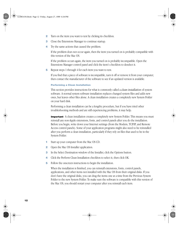- <span id="page-11-0"></span>**2** Turn on the item you want to test by clicking its checkbox.
- **3** Close the Extensions Manager to continue startup.
- 4 Try the same actions that caused the problem.

If the problem does not occur again, then the item you turned on is probably compatible with this version of the Mac OS.

If the problem occurs again, the item you turned on is probably incompatible. Open the Extensions Manager control panel and click the item's checkbox to deselect it.

5 Repeat steps 1 through 4 for each item you want to test.

If you find that a piece of software is incompatible, turn it off or remove it from your computer, then contact the manufacturer of the software to see if an updated version is available.

#### Performing a Clean Installation

This section provides instructions for what is commonly called a *clean installation* of system software. A normal system software installation replaces changed system files and adds new ones, but leaves other files alone. A clean installation creates a completely new System Folder on your hard disk.

Performing a clean installation can be a lengthy procedure, but if you have tried other troubleshooting methods and are still experiencing problems, it may help.

**Important** A clean installation creates a completely new System Folder. This means you must reinstall any non-Apple extensions, fonts, and control panels after you do the installation. Before you begin, write down your Internet settings (from the Modem, TCP/IP, and Remote Access control panels). Some of your application programs might also need to be reinstalled after you perform a clean installation, particularly if they rely on files that used to be in the System Folder.

- 1 Start up your computer from the Mac OS CD.
- 2 Open the Mac OS Installer application.
- 3 In the Select Destination window of the Installer, click the Options button.
- 4 Click the Perform Clean Installation checkbox to select it, then click OK.
- 5 Follow the onscreen instructions to begin the installation.

When the installation is finished, you can reinstall extensions, fonts, control panels, applications, and other items not installed with the Mac OS from their original disks. If you don't have the original disks, you can drag the items one at a time from the Previous System Folder to the new System Folder. To make sure the software is compatible with this version of the Mac OS, you should restart your computer after you reinstall each item.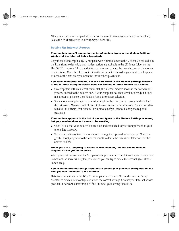<span id="page-12-0"></span>After you're sure you've copied all the items you want to save into your new System Folder, delete the Previous System Folder from your hard disk.

#### Setting Up Internet Access

#### Your modem doesn't appear in the list of modem types in the Modem Settings window of the Internet Setup Assistant.

Copy the modem script file (CCL) supplied with your modem into the Modem Scripts folder in the Extensions folder. Additional modem scripts are available in the CD Extras folder on the Mac OS CD. If you can't find a script for your modem, contact the manufacturer of the modem to get this file. Once the file is copied into the Modem Scripts folder, your modem will appear as a choice the next time you open the Internet Setup Assistant.

#### You have an internal modem, but the Port menu in the Modem Settings window of the Internet Setup Assistant does not include Internal Modem as a choice.

- m On computers with an internal comm slot, the internal modem shows in the software as if it were attached to the modem port. If your computer has an internal modem, but it does not appear as a choice, then Modem Port is the correct selection.
- m Some modems require special extensions to allow the computer to recognize them. Use the Extensions Manager control panel to turn on any modem extensions. You may need to reinstall the software that came with your modem if you cannot identify the required extension.

#### Your modem appears in the list of modem types in the Modem Settings window, but your modem does not seem to be working.

- m Check to see that your modem is turned on and connected to your computer and to your phone line correctly.
- m You may need to contact the modem vendor to get an updated modem script. Once you get this script, copy it into the Modem Scripts folder in the Extensions folder (inside the System Folder).

#### While you are attempting to create a new account, the line seems to have dropped or you get no response.

When you create an account, the Setup Assistant places a call to an Internet registration server. Sometimes the server is busy temporarily and you can try to create the account again almost immediately.

#### You used the Internet Setup Assistant to select your previous configuration, but now you can't connect to the Internet.

Make sure the settings in the TCP/IP control panel are correct. Or, use the Internet Setup Assistant to create a new configuration with the correct settings. Contact your Internet service provider or network administrator to find out what your settings should be.